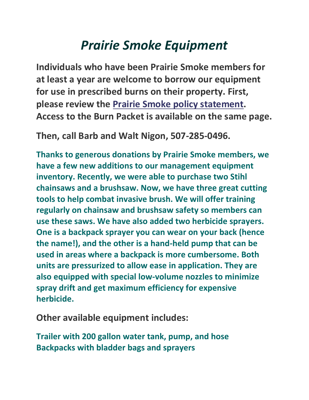## *Prairie Smoke Equipment*

**Individuals who have been Prairie Smoke members for at least a year are welcome to borrow our equipment for use in prescribed burns on their property. First, please review the [Prairie Smoke policy](http://prairiesmokemn.org/pages/burning.htm) statement. Access to the Burn Packet is available on the same page.**

**Then, call Barb and Walt Nigon, 507-285-0496.**

**Thanks to generous donations by Prairie Smoke members, we have a few new additions to our management equipment inventory. Recently, we were able to purchase two Stihl chainsaws and a brushsaw. Now, we have three great cutting tools to help combat invasive brush. We will offer training regularly on chainsaw and brushsaw safety so members can use these saws. We have also added two herbicide sprayers. One is a backpack sprayer you can wear on your back (hence the name!), and the other is a hand-held pump that can be used in areas where a backpack is more cumbersome. Both units are pressurized to allow ease in application. They are also equipped with special low-volume nozzles to minimize spray drift and get maximum efficiency for expensive herbicide.**

**Other available equipment includes:**

**Trailer with 200 gallon water tank, pump, and hose Backpacks with bladder bags and sprayers**